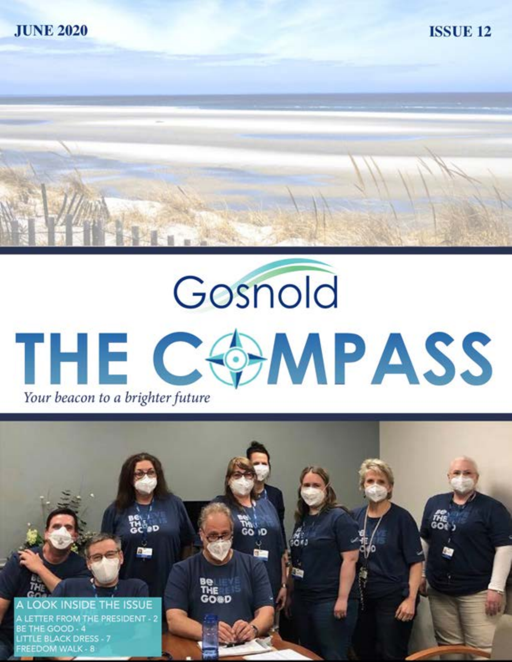

**ISSUE 12** 



## Gosnold THE COMPASS Your beacon to a brighter future

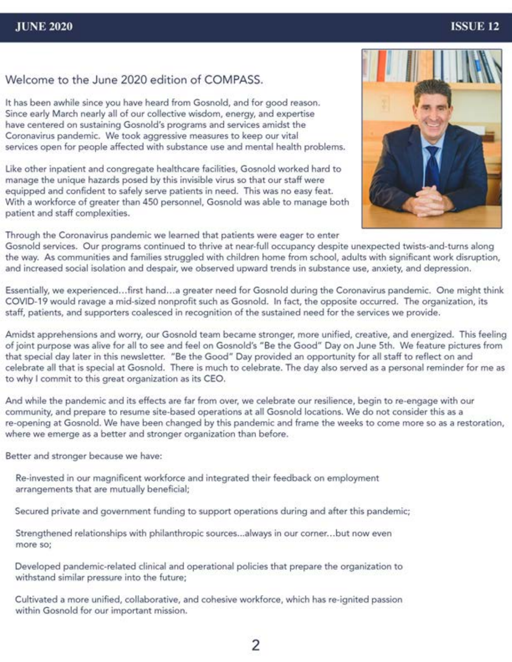#### **JUNE 2020**

#### **ISSUE 12**

#### Welcome to the June 2020 edition of COMPASS.

It has been awhile since you have heard from Gosnold, and for good reason. Since early March nearly all of our collective wisdom, energy, and expertise have centered on sustaining Gosnold's programs and services amidst the Coronavirus pandemic. We took aggressive measures to keep our vital services open for people affected with substance use and mental health problems.

Like other inpatient and congregate healthcare facilities, Gosnold worked hard to manage the unique hazards posed by this invisible virus so that our staff were equipped and confident to safely serve patients in need. This was no easy feat. With a workforce of greater than 450 personnel, Gosnold was able to manage both patient and staff complexities.



Through the Coronavirus pandemic we learned that patients were eager to enter

Gosnold services. Our programs continued to thrive at near-full occupancy despite unexpected twists-and-turns along the way. As communities and families struggled with children home from school, adults with significant work disruption, and increased social isolation and despair, we observed upward trends in substance use, anxiety, and depression.

Essentially, we experienced...first hand...a greater need for Gosnold during the Coronavirus pandemic. One might think COVID-19 would ravage a mid-sized nonprofit such as Gosnold. In fact, the opposite occurred. The organization, its staff, patients, and supporters coalesced in recognition of the sustained need for the services we provide.

Amidst apprehensions and worry, our Gosnold team became stronger, more unified, creative, and energized. This feeling of joint purpose was alive for all to see and feel on Gosnold's "Be the Good" Day on June 5th. We feature pictures from that special day later in this newsletter. "Be the Good" Day provided an opportunity for all staff to reflect on and celebrate all that is special at Gosnold. There is much to celebrate. The day also served as a personal reminder for me as to why I commit to this great organization as its CEO.

And while the pandemic and its effects are far from over, we celebrate our resilience, begin to re-engage with our community, and prepare to resume site-based operations at all Gosnold locations. We do not consider this as a re-opening at Gosnold. We have been changed by this pandemic and frame the weeks to come more so as a restoration, where we emerge as a better and stronger organization than before.

Better and stronger because we have:

Re-invested in our magnificent workforce and integrated their feedback on employment arrangements that are mutually beneficial;

Secured private and government funding to support operations during and after this pandemic;

Strengthened relationships with philanthropic sources...always in our corner...but now even more so:

Developed pandemic-related clinical and operational policies that prepare the organization to withstand similar pressure into the future;

Cultivated a more unified, collaborative, and cohesive workforce, which has re-ignited passion within Gosnold for our important mission.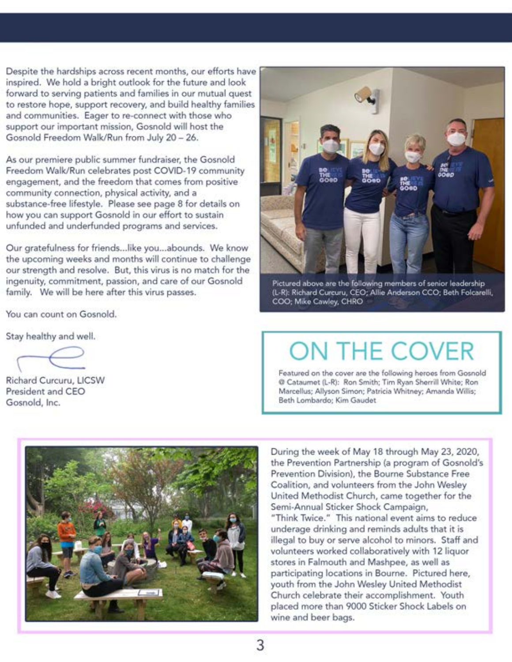Despite the hardships across recent months, our efforts have inspired. We hold a bright outlook for the future and look forward to serving patients and families in our mutual quest to restore hope, support recovery, and build healthy families and communities. Eager to re-connect with those who support our important mission, Gosnold will host the Gosnold Freedom Walk/Run from July 20 - 26.

As our premiere public summer fundraiser, the Gosnold Freedom Walk/Run celebrates post COVID-19 community engagement, and the freedom that comes from positive community connection, physical activity, and a substance-free lifestyle. Please see page 8 for details on how you can support Gosnold in our effort to sustain unfunded and underfunded programs and services.

Our gratefulness for friends...like you...abounds. We know the upcoming weeks and months will continue to challenge our strength and resolve. But, this virus is no match for the ingenuity, commitment, passion, and care of our Gosnold family. We will be here after this virus passes.

You can count on Gosnold.

Stay healthy and well.

Richard Curcuru, LICSW President and CEO Gosnold, Inc.



Pictured above are the following members of senior leadership (L-R): Richard Curcuru, CEO; Allie Anderson CCO; Beth Folcarelli, COO; Mike Cawley, CHRO

## ON THE COVER

Featured on the cover are the following heroes from Gosnold @ Cataumet (L-R): Ron Smith; Tim Ryan Sherrill White; Ron Marcellus; Allyson Simon; Patricia Whitney; Amanda Willis; Beth Lombardo; Kim Gaudet



During the week of May 18 through May 23, 2020, the Prevention Partnership (a program of Gosnold's Prevention Division), the Bourne Substance Free Coalition, and volunteers from the John Wesley United Methodist Church, came together for the Semi-Annual Sticker Shock Campaign, "Think Twice." This national event aims to reduce underage drinking and reminds adults that it is illegal to buy or serve alcohol to minors. Staff and volunteers worked collaboratively with 12 liquor stores in Falmouth and Mashpee, as well as participating locations in Bourne. Pictured here, youth from the John Wesley United Methodist Church celebrate their accomplishment. Youth placed more than 9000 Sticker Shock Labels on wine and beer bags.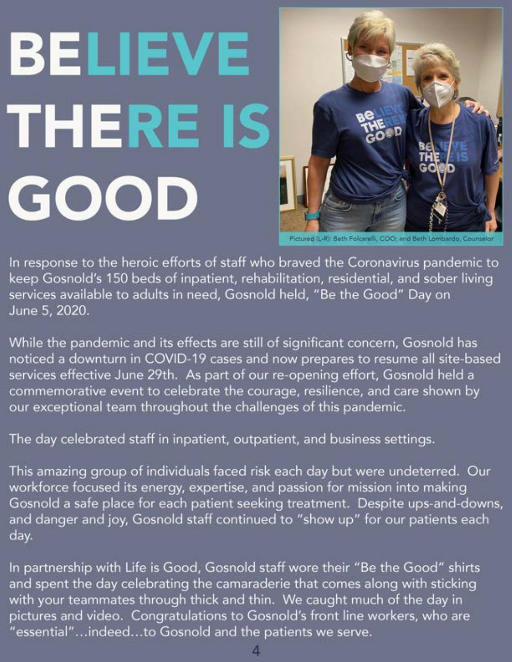# BELIEVE THERE IS GOOD



In response to the heroic efforts of staff who braved the Coronavirus pandemic to keep Gosnold's 150 beds of inpatient, rehabilitation, residential, and sober living services available to adults in need, Gosnold held, "Be the Good" Day on June 5, 2020.

While the pandemic and its effects are still of significant concern, Gosnold has noticed a downturn in COVID-19 cases and now prepares to resume all site-based services effective June 29th. As part of our re-opening effort, Gosnold held a commemorative event to celebrate the courage, resilience, and care shown by our exceptional team throughout the challenges of this pandemic.

The day celebrated staff in inpatient, outpatient, and business settings.

This amazing group of individuals faced risk each day but were undeterred. Our workforce focused its energy, expertise, and passion for mission into making Gosnold a safe place for each patient seeking treatment. Despite ups-and-downs, and danger and joy, Gosnold staff continued to "show up" for our patients each day.

In partnership with Life is Good, Gosnold staff wore their "Be the Good" shirts and spent the day celebrating the camaraderie that comes along with sticking with your teammates through thick and thin. We caught much of the day in pictures and video. Congratulations to Gosnold's front line workers, who are "essential"...indeed...to Gosnold and the patients we serve.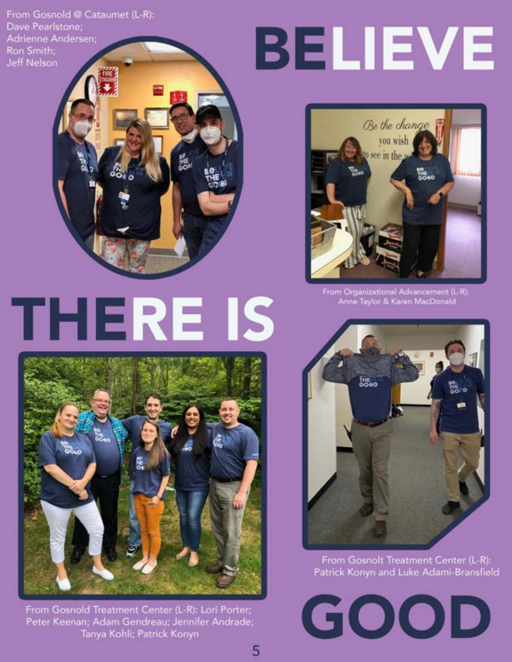From Gosnold @ Cataumet (L-R): Dave Pearlstone; Adrienne Andersen; Ron Smith; **Jeff Nelson** 

## BELIEVE



From Organizational Advancement (L-R): Anne Taylor & Karen MacDonald



From Gosnold Treatment Center (L-R): Lori Porter; Peter Keenan; Adam Gendreau; Jennifer Andrade; Tanya Kohli; Patrick Konyn

5



From Gosnolt Treatment Center (L-R): Patrick Konyn and Luke Adami-Bransfield

GOOD

## THERE IS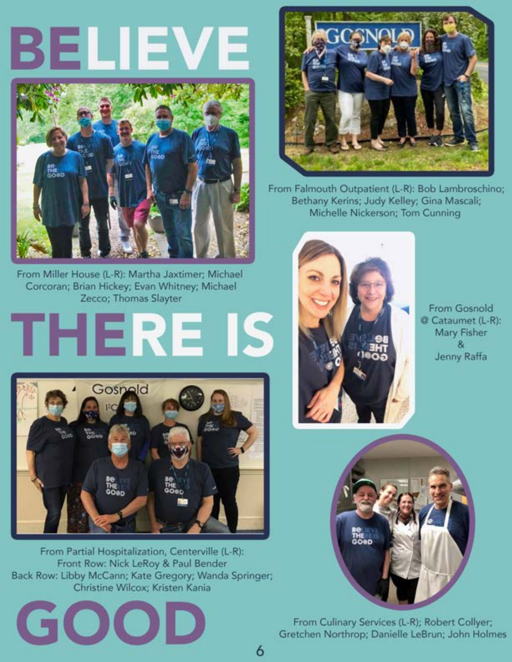## BELIEVE



From Miller House (L-R): Martha Jaxtimer; Michael Corcoran; Brian Hickey; Evan Whitney; Michael Zecco; Thomas Slayter

# THERE IS



From Partial Hospitalization, Centerville (L-R): Front Row: Nick LeRoy & Paul Bender Back Row: Libby McCann; Kate Gregory; Wanda Springer; Christine Wilcox; Kristen Kania





From Falmouth Outpatient (L-R): Bob Lambroschino; Bethany Kerins; Judy Kelley; Gina Mascali; Michelle Nickerson; Tom Cunning



**From Gosnold** @ Cataumet (L-R): **Mary Fisher**  $8<sub>k</sub>$ Jenny Raffa



From Culinary Services (L-R); Robert Collyer; Gretchen Northrop; Danielle LeBrun; John Holmes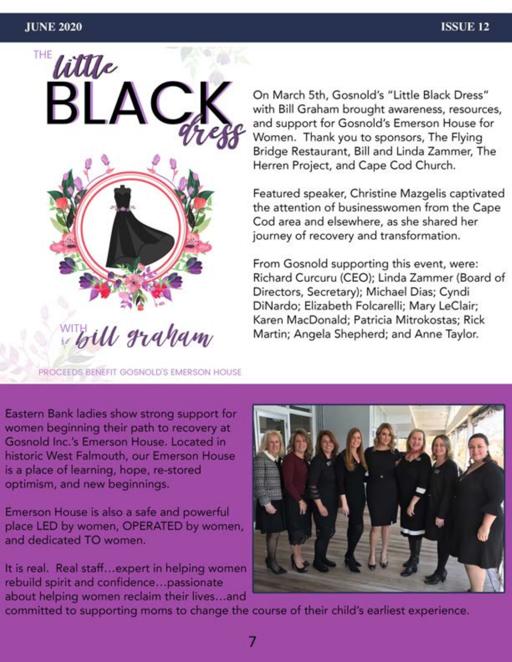

On March 5th, Gosnold's "Little Black Dress" with Bill Graham brought awareness, resources, and support for Gosnold's Emerson House for Women. Thank you to sponsors, The Flying Bridge Restaurant, Bill and Linda Zammer, The Herren Project, and Cape Cod Church.

Featured speaker, Christine Mazgelis captivated the attention of businesswomen from the Cape Cod area and elsewhere, as she shared her journey of recovery and transformation.

From Gosnold supporting this event, were: Richard Curcuru (CEO); Linda Zammer (Board of Directors, Secretary); Michael Dias; Cyndi DiNardo; Elizabeth Folcarelli; Mary LeClair; Karen MacDonald; Patricia Mitrokostas; Rick Martin; Angela Shepherd; and Anne Taylor.

PROCEEDS BENEFIT GOSNOLD'S EMERSON HOUSE

Eastern Bank ladies show strong support for women beginning their path to recovery at Gosnold Inc.'s Emerson House. Located in historic West Falmouth, our Emerson House is a place of learning, hope, re-stored optimism, and new beginnings.

Emerson House is also a safe and powerful place LED by women, OPERATED by women, and dedicated TO women.

It is real. Real staff...expert in helping women rebuild spirit and confidence...passionate about helping women reclaim their lives...and



committed to supporting moms to change the course of their child's earliest experience.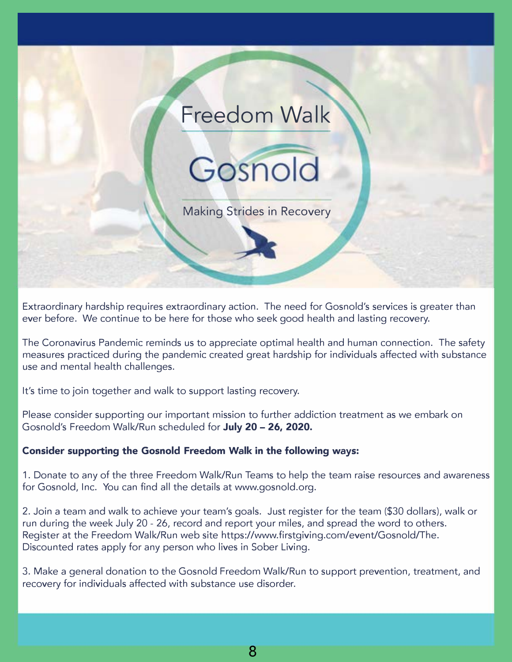

Extraordinary hardship requires extraordinary action. The need for Gosnold's services is greater than ever before. We continue to be here for those who seek good health and lasting recovery.

The Coronavirus Pandemic reminds us to appreciate optimal health and human connection. The safety measures practiced during the pandemic created great hardship for individuals affected with substance use and mental health challenges.

It's time to join together and walk to support lasting recovery.

Please consider supporting our important mission to further addiction treatment as we embark on Gosnold's Freedom Walk/Run scheduled for **July 20 - 26, 2020.** 

#### **Consider supporting the Gosnold Freedom Walk in the following ways:**

1. Donate to any of the three Freedom Walk/Run Teams to help the team raise resources and awareness for Gosnold, Inc. You can find all the details at [www.gosnold.org.](http://www.gosnold.org)

2. Join a team and walk to achieve your team's goals. Just register for the team (\$30 dollars), walk or run during the week July 20 - 26, record and report your miles, and spread the word to others. Register at the Freedom Walk/Run web site [https://www.firstgiving.com/event/Gosnold/The.](https://www.firstgiving.com/event/Gosnold/The) Discounted rates apply for any person who lives in Sober Living.

3. Make a general donation to the Gosnold Freedom Walk/Run to support prevention, treatment, and recovery for individuals affected with substance use disorder.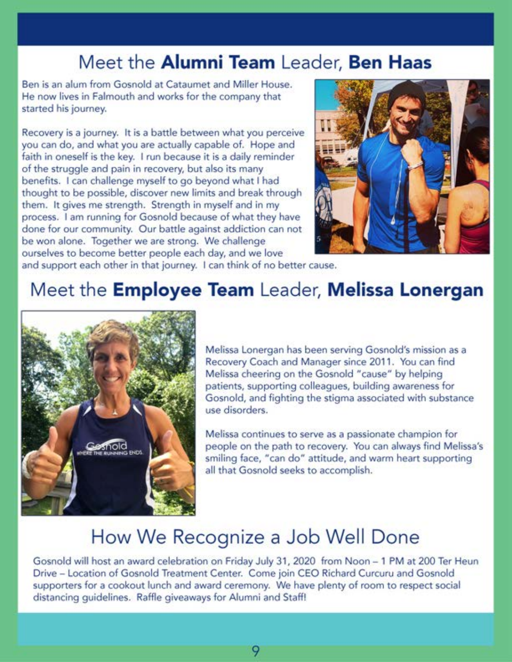## Meet the Alumni Team Leader, Ben Haas

Ben is an alum from Gosnold at Cataumet and Miller House. He now lives in Falmouth and works for the company that started his journey.

Recovery is a journey. It is a battle between what you perceive you can do, and what you are actually capable of. Hope and faith in oneself is the key. I run because it is a daily reminder of the struggle and pain in recovery, but also its many benefits. I can challenge myself to go beyond what I had thought to be possible, discover new limits and break through them. It gives me strength. Strength in myself and in my process. I am running for Gosnold because of what they have done for our community. Our battle against addiction can not be won alone. Together we are strong. We challenge ourselves to become better people each day, and we love



and support each other in that journey. I can think of no better cause.

## Meet the **Employee Team** Leader, **Melissa Lonergan**



Melissa Lonergan has been serving Gosnold's mission as a Recovery Coach and Manager since 2011. You can find Melissa cheering on the Gosnold "cause" by helping patients, supporting colleagues, building awareness for Gosnold, and fighting the stigma associated with substance use disorders.

Melissa continues to serve as a passionate champion for people on the path to recovery. You can always find Melissa's smiling face, "can do" attitude, and warm heart supporting all that Gosnold seeks to accomplish.

## How We Recognize a Job Well Done

Gosnold will host an award celebration on Friday July 31, 2020 from Noon - 1 PM at 200 Ter Heun Drive - Location of Gosnold Treatment Center. Come join CEO Richard Curcuru and Gosnold supporters for a cookout lunch and award ceremony. We have plenty of room to respect social distancing guidelines. Raffle giveaways for Alumni and Staff!